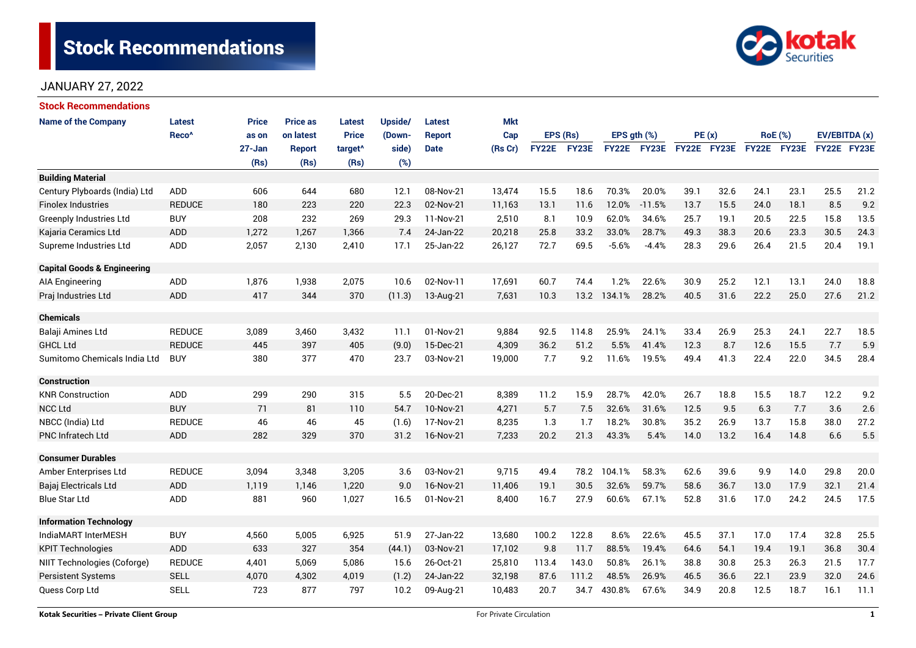# **Stock Recommendations**



# JANUARY 27, 2022

| <b>Stock Recommendations</b>           |                   |              |                 |                     |         |               |            |              |          |              |                  |             |      |      |                |               |      |
|----------------------------------------|-------------------|--------------|-----------------|---------------------|---------|---------------|------------|--------------|----------|--------------|------------------|-------------|------|------|----------------|---------------|------|
| <b>Name of the Company</b>             | <b>Latest</b>     | <b>Price</b> | <b>Price as</b> | <b>Latest</b>       | Upside/ | Latest        | <b>Mkt</b> |              |          |              |                  |             |      |      |                |               |      |
|                                        | Reco <sup>^</sup> | as on        | on latest       | <b>Price</b>        | (Down-  | <b>Report</b> | Cap        |              | EPS (Rs) |              | EPS $qth$ $(\%)$ | PE(x)       |      |      | <b>RoE</b> (%) | EV/EBITDA (x) |      |
|                                        |                   | $27 - Jan$   | <b>Report</b>   | target <sup>^</sup> | side)   | <b>Date</b>   | (Rs Cr)    | <b>FY22E</b> | FY23E    | <b>FY22E</b> | FY23E            | FY22E FY23E |      |      | FY22E FY23E    | FY22E FY23E   |      |
|                                        |                   | (Rs)         | (Rs)            | (Rs)                | (%)     |               |            |              |          |              |                  |             |      |      |                |               |      |
| <b>Building Material</b>               |                   |              |                 |                     |         |               |            |              |          |              |                  |             |      |      |                |               |      |
| Century Plyboards (India) Ltd          | <b>ADD</b>        | 606          | 644             | 680                 | 12.1    | 08-Nov-21     | 13,474     | 15.5         | 18.6     | 70.3%        | 20.0%            | 39.1        | 32.6 | 24.1 | 23.1           | 25.5          | 21.2 |
| <b>Finolex Industries</b>              | <b>REDUCE</b>     | 180          | 223             | 220                 | 22.3    | 02-Nov-21     | 11,163     | 13.1         | 11.6     | 12.0%        | $-11.5%$         | 13.7        | 15.5 | 24.0 | 18.1           | 8.5           | 9.2  |
| <b>Greenply Industries Ltd</b>         | <b>BUY</b>        | 208          | 232             | 269                 | 29.3    | 11-Nov-21     | 2,510      | 8.1          | 10.9     | 62.0%        | 34.6%            | 25.7        | 19.1 | 20.5 | 22.5           | 15.8          | 13.5 |
| Kajaria Ceramics Ltd                   | <b>ADD</b>        | 1,272        | 1,267           | 1,366               | 7.4     | 24-Jan-22     | 20,218     | 25.8         | 33.2     | 33.0%        | 28.7%            | 49.3        | 38.3 | 20.6 | 23.3           | 30.5          | 24.3 |
| Supreme Industries Ltd                 | ADD               | 2,057        | 2,130           | 2,410               | 17.1    | 25-Jan-22     | 26,127     | 72.7         | 69.5     | $-5.6%$      | $-4.4%$          | 28.3        | 29.6 | 26.4 | 21.5           | 20.4          | 19.1 |
| <b>Capital Goods &amp; Engineering</b> |                   |              |                 |                     |         |               |            |              |          |              |                  |             |      |      |                |               |      |
| <b>AIA Engineering</b>                 | <b>ADD</b>        | 1,876        | 1,938           | 2,075               | 10.6    | 02-Nov-11     | 17,691     | 60.7         | 74.4     | 1.2%         | 22.6%            | 30.9        | 25.2 | 12.1 | 13.1           | 24.0          | 18.8 |
| Praj Industries Ltd                    | <b>ADD</b>        | 417          | 344             | 370                 | (11.3)  | 13-Aug-21     | 7,631      | 10.3         |          | 13.2 134.1%  | 28.2%            | 40.5        | 31.6 | 22.2 | 25.0           | 27.6          | 21.2 |
| <b>Chemicals</b>                       |                   |              |                 |                     |         |               |            |              |          |              |                  |             |      |      |                |               |      |
| Balaji Amines Ltd                      | <b>REDUCE</b>     | 3,089        | 3,460           | 3,432               | 11.1    | 01-Nov-21     | 9,884      | 92.5         | 114.8    | 25.9%        | 24.1%            | 33.4        | 26.9 | 25.3 | 24.1           | 22.7          | 18.5 |
| <b>GHCL Ltd</b>                        | <b>REDUCE</b>     | 445          | 397             | 405                 | (9.0)   | 15-Dec-21     | 4,309      | 36.2         | 51.2     | 5.5%         | 41.4%            | 12.3        | 8.7  | 12.6 | 15.5           | 7.7           | 5.9  |
| Sumitomo Chemicals India Ltd           | <b>BUY</b>        | 380          | 377             | 470                 | 23.7    | 03-Nov-21     | 19,000     | 7.7          | 9.2      | 11.6%        | 19.5%            | 49.4        | 41.3 | 22.4 | 22.0           | 34.5          | 28.4 |
| Construction                           |                   |              |                 |                     |         |               |            |              |          |              |                  |             |      |      |                |               |      |
| <b>KNR Construction</b>                | <b>ADD</b>        | 299          | 290             | 315                 | 5.5     | 20-Dec-21     | 8,389      | 11.2         | 15.9     | 28.7%        | 42.0%            | 26.7        | 18.8 | 15.5 | 18.7           | 12.2          | 9.2  |
| <b>NCC Ltd</b>                         | <b>BUY</b>        | 71           | 81              | 110                 | 54.7    | 10-Nov-21     | 4,271      | 5.7          | 7.5      | 32.6%        | 31.6%            | 12.5        | 9.5  | 6.3  | 7.7            | 3.6           | 2.6  |
| NBCC (India) Ltd                       | <b>REDUCE</b>     | 46           | 46              | 45                  | (1.6)   | 17-Nov-21     | 8,235      | 1.3          | 1.7      | 18.2%        | 30.8%            | 35.2        | 26.9 | 13.7 | 15.8           | 38.0          | 27.2 |
| PNC Infratech Ltd                      | <b>ADD</b>        | 282          | 329             | 370                 | 31.2    | 16-Nov-21     | 7,233      | 20.2         | 21.3     | 43.3%        | 5.4%             | 14.0        | 13.2 | 16.4 | 14.8           | 6.6           | 5.5  |
| <b>Consumer Durables</b>               |                   |              |                 |                     |         |               |            |              |          |              |                  |             |      |      |                |               |      |
| Amber Enterprises Ltd                  | <b>REDUCE</b>     | 3,094        | 3,348           | 3,205               | 3.6     | 03-Nov-21     | 9,715      | 49.4         | 78.2     | 104.1%       | 58.3%            | 62.6        | 39.6 | 9.9  | 14.0           | 29.8          | 20.0 |
| Bajaj Electricals Ltd                  | <b>ADD</b>        | 1,119        | 1,146           | 1,220               | 9.0     | 16-Nov-21     | 11,406     | 19.1         | 30.5     | 32.6%        | 59.7%            | 58.6        | 36.7 | 13.0 | 17.9           | 32.1          | 21.4 |
| <b>Blue Star Ltd</b>                   | ADD               | 881          | 960             | 1,027               | 16.5    | 01-Nov-21     | 8,400      | 16.7         | 27.9     | 60.6%        | 67.1%            | 52.8        | 31.6 | 17.0 | 24.2           | 24.5          | 17.5 |
| <b>Information Technology</b>          |                   |              |                 |                     |         |               |            |              |          |              |                  |             |      |      |                |               |      |
| IndiaMART InterMESH                    | <b>BUY</b>        | 4,560        | 5,005           | 6,925               | 51.9    | 27-Jan-22     | 13,680     | 100.2        | 122.8    | 8.6%         | 22.6%            | 45.5        | 37.1 | 17.0 | 17.4           | 32.8          | 25.5 |
| <b>KPIT Technologies</b>               | <b>ADD</b>        | 633          | 327             | 354                 | (44.1)  | 03-Nov-21     | 17,102     | 9.8          | 11.7     | 88.5%        | 19.4%            | 64.6        | 54.1 | 19.4 | 19.1           | 36.8          | 30.4 |
| NIIT Technologies (Coforge)            | <b>REDUCE</b>     | 4,401        | 5,069           | 5,086               | 15.6    | 26-Oct-21     | 25,810     | 113.4        | 143.0    | 50.8%        | 26.1%            | 38.8        | 30.8 | 25.3 | 26.3           | 21.5          | 17.7 |
| <b>Persistent Systems</b>              | <b>SELL</b>       | 4,070        | 4,302           | 4,019               | (1.2)   | 24-Jan-22     | 32,198     | 87.6         | 111.2    | 48.5%        | 26.9%            | 46.5        | 36.6 | 22.1 | 23.9           | 32.0          | 24.6 |
| Quess Corp Ltd                         | <b>SELL</b>       | 723          | 877             | 797                 | 10.2    | 09-Aug-21     | 10,483     | 20.7         | 34.7     | 430.8%       | 67.6%            | 34.9        | 20.8 | 12.5 | 18.7           | 16.1          | 11.1 |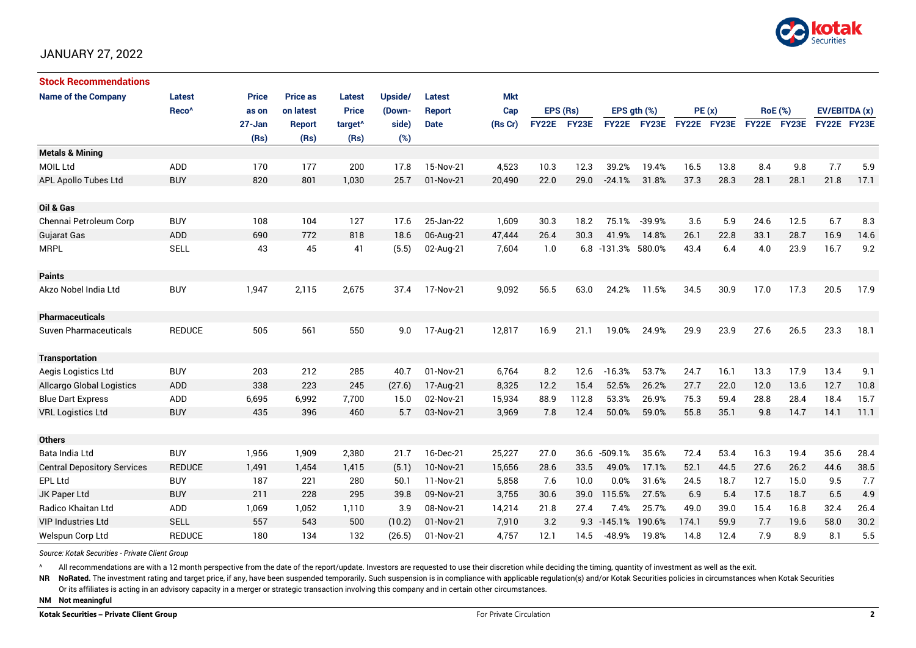

# JANUARY 27, 2022

| <b>Stock Recommendations</b>       |                   |              |                 |                     |         |               |            |              |       |                |                  |             |      |      |                |               |      |
|------------------------------------|-------------------|--------------|-----------------|---------------------|---------|---------------|------------|--------------|-------|----------------|------------------|-------------|------|------|----------------|---------------|------|
| <b>Name of the Company</b>         | Latest            | <b>Price</b> | <b>Price as</b> | Latest              | Upside/ | <b>Latest</b> | <b>Mkt</b> |              |       |                |                  |             |      |      |                |               |      |
|                                    | Reco <sup>^</sup> | as on        | on latest       | <b>Price</b>        | (Down-  | <b>Report</b> | Cap        | EPS (Rs)     |       |                | EPS $qth$ $(\%)$ | PE(x)       |      |      | <b>RoE</b> (%) | EV/EBITDA (x) |      |
|                                    |                   | $27 - Jan$   | <b>Report</b>   | target <sup>^</sup> | side)   | <b>Date</b>   | (Rs Cr)    | <b>FY22E</b> | FY23E | <b>FY22E</b>   | FY23E            | FY22E FY23E |      |      | FY22E FY23E    | FY22E FY23E   |      |
|                                    |                   | (Rs)         | (Rs)            | (Rs)                | (%)     |               |            |              |       |                |                  |             |      |      |                |               |      |
| <b>Metals &amp; Mining</b>         |                   |              |                 |                     |         |               |            |              |       |                |                  |             |      |      |                |               |      |
| <b>MOIL Ltd</b>                    | ADD               | 170          | 177             | 200                 | 17.8    | 15-Nov-21     | 4,523      | 10.3         | 12.3  | 39.2%          | 19.4%            | 16.5        | 13.8 | 8.4  | 9.8            | 7.7           | 5.9  |
| <b>APL Apollo Tubes Ltd</b>        | <b>BUY</b>        | 820          | 801             | 1,030               | 25.7    | 01-Nov-21     | 20,490     | 22.0         | 29.0  | $-24.1%$       | 31.8%            | 37.3        | 28.3 | 28.1 | 28.1           | 21.8          | 17.1 |
|                                    |                   |              |                 |                     |         |               |            |              |       |                |                  |             |      |      |                |               |      |
| Oil & Gas                          |                   |              |                 |                     |         |               |            |              |       |                |                  |             |      |      |                |               |      |
| Chennai Petroleum Corp             | <b>BUY</b>        | 108          | 104             | 127                 | 17.6    | 25-Jan-22     | 1,609      | 30.3         | 18.2  | 75.1%          | $-39.9%$         | 3.6         | 5.9  | 24.6 | 12.5           | 6.7           | 8.3  |
| <b>Gujarat Gas</b>                 | ADD               | 690          | 772             | 818                 | 18.6    | 06-Aug-21     | 47,444     | 26.4         | 30.3  | 41.9%          | 14.8%            | 26.1        | 22.8 | 33.1 | 28.7           | 16.9          | 14.6 |
| <b>MRPL</b>                        | <b>SELL</b>       | 43           | 45              | 41                  | (5.5)   | 02-Aug-21     | 7,604      | 1.0          |       | $6.8 - 131.3%$ | 580.0%           | 43.4        | 6.4  | 4.0  | 23.9           | 16.7          | 9.2  |
|                                    |                   |              |                 |                     |         |               |            |              |       |                |                  |             |      |      |                |               |      |
| <b>Paints</b>                      |                   |              |                 |                     |         |               |            |              |       |                |                  |             |      |      |                |               |      |
| Akzo Nobel India Ltd               | <b>BUY</b>        | 1,947        | 2,115           | 2,675               | 37.4    | 17-Nov-21     | 9,092      | 56.5         | 63.0  | 24.2%          | 11.5%            | 34.5        | 30.9 | 17.0 | 17.3           | 20.5          | 17.9 |
|                                    |                   |              |                 |                     |         |               |            |              |       |                |                  |             |      |      |                |               |      |
| <b>Pharmaceuticals</b>             |                   |              |                 |                     |         |               |            |              |       |                |                  |             |      |      |                |               |      |
| <b>Suven Pharmaceuticals</b>       | <b>REDUCE</b>     | 505          | 561             | 550                 | 9.0     | 17-Aug-21     | 12,817     | 16.9         | 21.1  | 19.0%          | 24.9%            | 29.9        | 23.9 | 27.6 | 26.5           | 23.3          | 18.1 |
|                                    |                   |              |                 |                     |         |               |            |              |       |                |                  |             |      |      |                |               |      |
| <b>Transportation</b>              |                   |              |                 |                     |         |               |            |              |       |                |                  |             |      |      |                |               |      |
| Aegis Logistics Ltd                | <b>BUY</b>        | 203          | 212             | 285                 | 40.7    | 01-Nov-21     | 6,764      | 8.2          | 12.6  | $-16.3%$       | 53.7%            | 24.7        | 16.1 | 13.3 | 17.9           | 13.4          | 9.1  |
| <b>Allcargo Global Logistics</b>   | <b>ADD</b>        | 338          | 223             | 245                 | (27.6)  | 17-Aug-21     | 8,325      | 12.2         | 15.4  | 52.5%          | 26.2%            | 27.7        | 22.0 | 12.0 | 13.6           | 12.7          | 10.8 |
| <b>Blue Dart Express</b>           | ADD               | 6,695        | 6,992           | 7,700               | 15.0    | 02-Nov-21     | 15,934     | 88.9         | 112.8 | 53.3%          | 26.9%            | 75.3        | 59.4 | 28.8 | 28.4           | 18.4          | 15.7 |
| <b>VRL Logistics Ltd</b>           | <b>BUY</b>        | 435          | 396             | 460                 | 5.7     | 03-Nov-21     | 3,969      | 7.8          | 12.4  | 50.0%          | 59.0%            | 55.8        | 35.1 | 9.8  | 14.7           | 14.1          | 11.1 |
|                                    |                   |              |                 |                     |         |               |            |              |       |                |                  |             |      |      |                |               |      |
| <b>Others</b>                      |                   |              |                 |                     |         |               |            |              |       |                |                  |             |      |      |                |               |      |
| Bata India Ltd                     | <b>BUY</b>        | 1,956        | 1,909           | 2,380               | 21.7    | 16-Dec-21     | 25,227     | 27.0         | 36.6  | $-509.1%$      | 35.6%            | 72.4        | 53.4 | 16.3 | 19.4           | 35.6          | 28.4 |
| <b>Central Depository Services</b> | <b>REDUCE</b>     | 1,491        | 1,454           | 1,415               | (5.1)   | 10-Nov-21     | 15,656     | 28.6         | 33.5  | 49.0%          | 17.1%            | 52.1        | 44.5 | 27.6 | 26.2           | 44.6          | 38.5 |
| <b>EPL Ltd</b>                     | <b>BUY</b>        | 187          | 221             | 280                 | 50.1    | 11-Nov-21     | 5,858      | 7.6          | 10.0  | 0.0%           | 31.6%            | 24.5        | 18.7 | 12.7 | 15.0           | 9.5           | 7.7  |
| JK Paper Ltd                       | <b>BUY</b>        | 211          | 228             | 295                 | 39.8    | 09-Nov-21     | 3,755      | 30.6         | 39.0  | 115.5%         | 27.5%            | 6.9         | 5.4  | 17.5 | 18.7           | 6.5           | 4.9  |
| <b>Radico Khaitan Ltd</b>          | ADD               | 1,069        | 1,052           | 1,110               | 3.9     | 08-Nov-21     | 14,214     | 21.8         | 27.4  | 7.4%           | 25.7%            | 49.0        | 39.0 | 15.4 | 16.8           | 32.4          | 26.4 |
| <b>VIP Industries Ltd</b>          | <b>SELL</b>       | 557          | 543             | 500                 | (10.2)  | 01-Nov-21     | 7,910      | 3.2          |       | $9.3 - 145.1%$ | 190.6%           | 174.1       | 59.9 | 7.7  | 19.6           | 58.0          | 30.2 |
| Welspun Corp Ltd                   | <b>REDUCE</b>     | 180          | 134             | 132                 | (26.5)  | 01-Nov-21     | 4,757      | 12.1         | 14.5  | -48.9%         | 19.8%            | 14.8        | 12.4 | 7.9  | 8.9            | 8.1           | 5.5  |

*Source: Kotak Securities - Private Client Group*

All recommendations are with a 12 month perspective from the date of the report/update. Investors are requested to use their discretion while deciding the timing, quantity of investment as well as the exit.

NR NoRated. The investment rating and target price, if any, have been suspended temporarily. Such suspension is in compliance with applicable regulation(s) and/or Kotak Securities policies in circumstances when Kotak Secur

Or its affiliates is acting in an advisory capacity in a merger or strategic transaction involving this company and in certain other circumstances.

**NM Not meaningful**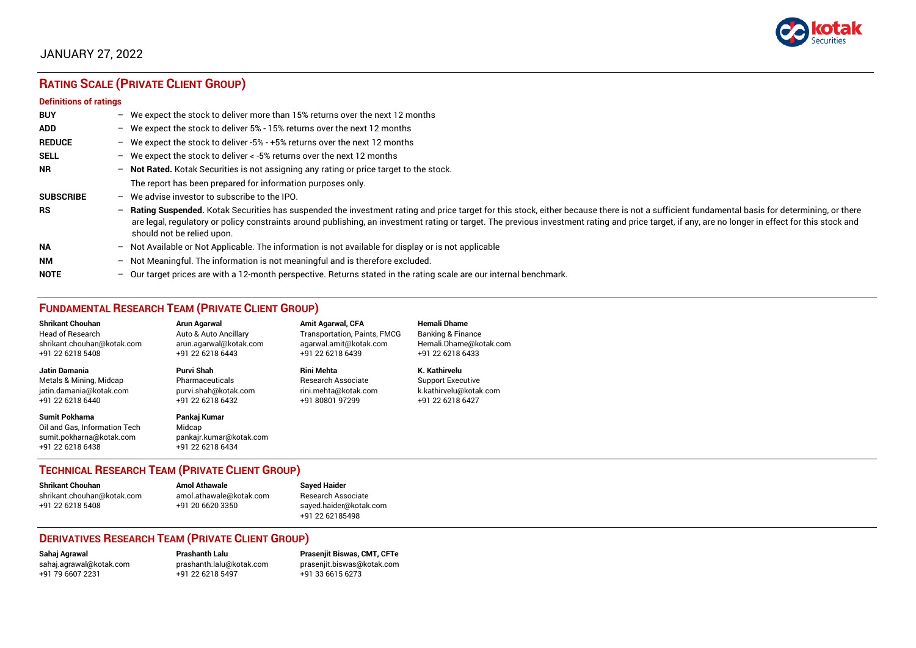

# JANUARY 27, 2022

# **RATING SCALE (PRIVATE CLIENT GROUP)**

#### **Definitions of ratings**

| <b>BUY</b>       | - We expect the stock to deliver more than 15% returns over the next 12 months                                                                                                                                                                                                                                                                                                                                                     |
|------------------|------------------------------------------------------------------------------------------------------------------------------------------------------------------------------------------------------------------------------------------------------------------------------------------------------------------------------------------------------------------------------------------------------------------------------------|
| <b>ADD</b>       | - We expect the stock to deliver 5% - 15% returns over the next 12 months                                                                                                                                                                                                                                                                                                                                                          |
| <b>REDUCE</b>    | - We expect the stock to deliver -5% - +5% returns over the next 12 months                                                                                                                                                                                                                                                                                                                                                         |
| <b>SELL</b>      | - We expect the stock to deliver $\lt$ -5% returns over the next 12 months                                                                                                                                                                                                                                                                                                                                                         |
| <b>NR</b>        | - Not Rated. Kotak Securities is not assigning any rating or price target to the stock.                                                                                                                                                                                                                                                                                                                                            |
|                  | The report has been prepared for information purposes only.                                                                                                                                                                                                                                                                                                                                                                        |
| <b>SUBSCRIBE</b> | $-$ We advise investor to subscribe to the IPO.                                                                                                                                                                                                                                                                                                                                                                                    |
| <b>RS</b>        | - Rating Suspended. Kotak Securities has suspended the investment rating and price target for this stock, either because there is not a sufficient fundamental basis for determining, or there<br>are legal, regulatory or policy constraints around publishing, an investment rating or target. The previous investment rating and price target, if any, are no longer in effect for this stock and<br>should not be relied upon. |
| <b>NA</b>        | - Not Available or Not Applicable. The information is not available for display or is not applicable                                                                                                                                                                                                                                                                                                                               |
| <b>NM</b>        | - Not Meaningful. The information is not meaningful and is therefore excluded.                                                                                                                                                                                                                                                                                                                                                     |
| <b>NOTE</b>      | $-$ Our target prices are with a 12-month perspective. Returns stated in the rating scale are our internal benchmark.                                                                                                                                                                                                                                                                                                              |

# **FUNDAMENTAL RESEARCH TEAM (PRIVATE CLIENT GROUP)**

| <b>Shrikant Chouhan</b>                                                                         | <b>Arun Agarwal</b>                                                   | <b>Amit Agarwal, CFA</b>            | Hemali Dhame             |
|-------------------------------------------------------------------------------------------------|-----------------------------------------------------------------------|-------------------------------------|--------------------------|
| Head of Research                                                                                | Auto & Auto Ancillary                                                 | <b>Transportation, Paints, FMCG</b> | Banking & Finance        |
| shrikant.chouhan@kotak.com                                                                      | arun.agarwal@kotak.com                                                | agarwal.amit@kotak.com              | Hemali.Dhame@kotak.com   |
| +91 22 6218 5408                                                                                | +91 22 6218 6443                                                      | +91 22 6218 6439                    | +91 22 6218 6433         |
| <b>Jatin Damania</b>                                                                            | Purvi Shah                                                            | Rini Mehta                          | K. Kathirvelu            |
| Metals & Mining, Midcap                                                                         | Pharmaceuticals                                                       | Research Associate                  | <b>Support Executive</b> |
| jatin.damania@kotak.com                                                                         | purvi.shah@kotak.com                                                  | rini.mehta@kotak.com                | k.kathirvelu@kotak.com   |
| +91 22 6218 6440                                                                                | +91 22 6218 6432                                                      | +91 80801 97299                     | +91 22 6218 6427         |
| Sumit Pokharna<br>Oil and Gas, Information Tech<br>sumit.pokharna@kotak.com<br>+91 22 6218 6438 | Pankaj Kumar<br>Midcap<br>pankajr.kumar@kotak.com<br>+91 22 6218 6434 |                                     |                          |

# **TECHNICAL RESEARCH TEAM (PRIVATE CLIENT GROUP)**

| Shrikant Chouhan           | <b>Amol Athawale</b>    | <b>Sayed Haider</b>    |
|----------------------------|-------------------------|------------------------|
| shrikant.chouhan@kotak.com | amol.athawale@kotak.com | Research Associate     |
| +91 22 6218 5408           | +91 20 6620 3350        | sayed.haider@kotak.com |
|                            |                         | +91 22 62185498        |

#### **DERIVATIVES RESEARCH TEAM (PRIVATE CLIENT GROUP)**

+91 22 6218 5497 +91 33 6615 6273

**Sahaj Agrawal Prashanth Lalu Prasenjit Biswas, CMT, CFTe** [sahaj.agrawal@kotak.com](mailto:sahaj.agrawal@kotak.com) [prashanth.lalu@kotak.com](mailto:prashanth.lalu@kotak.com) [prasenjit.biswas@kotak.com](mailto:prasenjit.biswas@kotak.com)